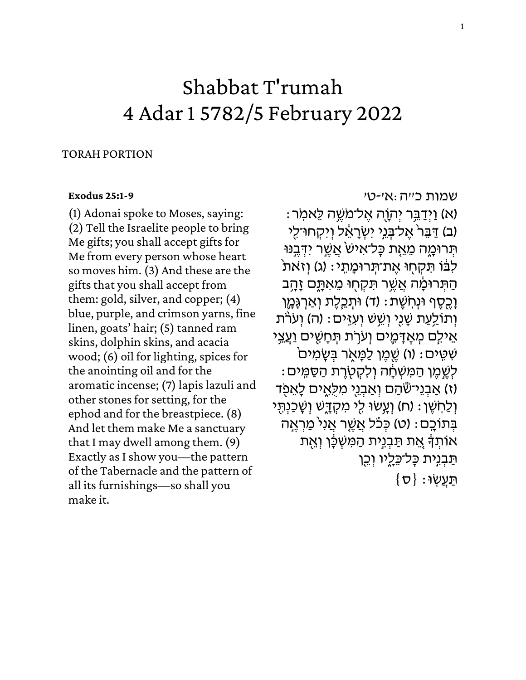# Shabbat T'rumah 4 Adar 1 5782/5 February 2022

## TORAH PORTION

## **[Exodus 25:1-9](https://www.sefaria.org/Exodus.25.1-9)**

(1) Adonai spoke to Moses, saying: (2) Tell the Israelite people to bring Me gifts; you shall accept gifts for Me from every person whose heart so moves him. (3) And these are the gifts that you shall accept from them: gold, silver, and copper; (4) blue, purple, and crimson yarns, fine linen, goats' hair; (5) tanned ram skins, dolphin skins, and acacia wood; (6) oil for lighting, spices for the anointing oil and for the aromatic incense; (7) lapis lazuli and other stones for setting, for the ephod and for the breastpiece. (8) And let them make Me a sanctuary that I may dwell among them. (9) Exactly as I show you—the pattern of the Tabernacle and the pattern of all its furnishings—so shall you make it.

## [שמות](https://www.sefaria.org/Exodus.25.1-9) [כ״ה:א׳-ט׳](https://www.sefaria.org/Exodus.25.1-9)

 $\,$ וַיִּדַבֵּר יִהְוֶה אֱל־מֹשֵׁה לֵאמִר $\,$  (א (ב) דַּבֵּרֹ אֵל־בָּנֵי יִשְׂרָאֵל וְיִקְחוּ־לִי תִּרוּמֶה מֵאֵת כָּל־אִישׁׂ אֲשֱר יִדְּבֵנּוּ לְבֹּו תִּקְחִוּ אֶת־תְּרוּמַתֵי: (ג) וְזֹאת הַתְּרוּכַוּה אֲשֱר תִּקְחִוּ מֵאִתָּם זָהֵב וַכֵּסֶף וּנְחָשֶׁת: (ד) וּתְכֵלֶת וְאַרְגַּמֵן ּוְתוֹלֵעַת שַׁנִי וְשֵׁשׁ וְעְזֵיּם: (ה) וְעֹרֹּת אֵילֵם מְאַדַּמֵים וְעֹרָת תְּחַשִִּים <u>וַעֲצ</u>ֵי ֿשְׁשֵׁים: (ו) שֱמֶן לַמָּאָר בְּשָׂמִים ֹלְשֶׁמֶן הַמִּשְׁחָה וְלִקְטְרֵת הַסַּמֵּים: (ז) אַבְנֵי־ש<u>ֹׂהַ</u>ם וְאַבְנֵי מִלְאֵים לָאֵפָ<del>ּד</del> וְלַחְשֵׁן : (ח) וְעָשׂוּ לִי מִקְדֶשׁ וְשָׁכַנְתְּי בְּתוֹכֶם: (ט) כִּכֹֹל אֲשֱר אֲנִ<sup>{</sup> מַרְאֱה אוֹתְדָּ אֵת תַּבְנִית הַמִּשְׁכָּוְ וְאֵת תַבְנֵית כַּל־כֵּלֵיו וְכֵן  $\{\sigma\}$  : תַּעֲשָׂוּ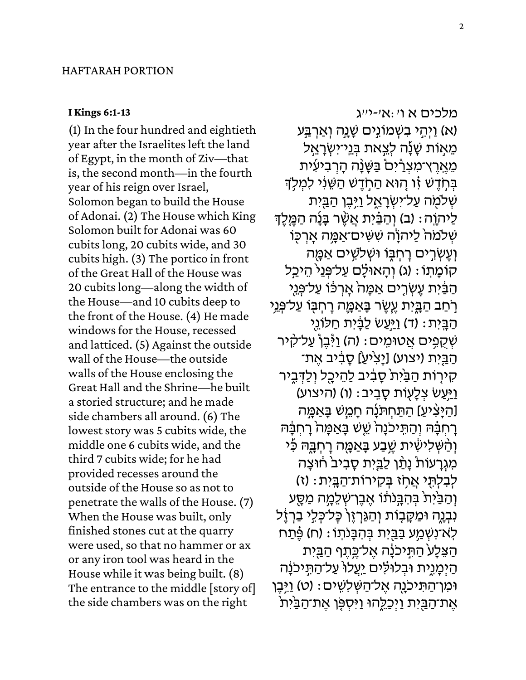## HAFTARAH PORTION

## **[I Kings 6:1-13](https://www.sefaria.org/I_Kings.6.1-13)**

(1) In the four hundred and eightieth year after the Israelites left the land of Egypt, in the month of Ziv—that is, the second month—in the fourth year of his reign over Israel, Solomon began to build the House of Adonai. (2) The House which King Solomon built for Adonai was 60 cubits long, 20 cubits wide, and 30 cubits high. (3) The portico in front of the Great Hall of the House was 20 cubits long—along the width of the House—and 10 cubits deep to the front of the House. (4) He made windows for the House, recessed and latticed. (5) Against the outside wall of the House—the outside walls of the House enclosing the Great Hall and the Shrine—he built a storied structure; and he made side chambers all around. (6) The lowest story was 5 cubits wide, the middle one 6 cubits wide, and the third 7 cubits wide; for he had provided recesses around the outside of the House so as not to penetrate the walls of the House. (7) When the House was built, only finished stones cut at the quarry were used, so that no hammer or ax or any iron tool was heard in the House while it was being built. (8) The entrance to the middle [story of] the side chambers was on the right

[מלכים](https://www.sefaria.org/I_Kings.6.1-13) [א](https://www.sefaria.org/I_Kings.6.1-13) [ו׳:א׳-י״ג](https://www.sefaria.org/I_Kings.6.1-13)  (א) וַיְהֵי בִשְׁמוֹנֵים ש<u>ָנ</u>ָה וְאַרְבֵּע ְמֵאִוֹּת שֲנַ֫ה לִצֵּאת בְּנֵי־יִשְׂרָאֵל מֵאֵרֵץ־מִצְרַ֫יִם בַּשָּׁנָָה הָרְבִיעִית בְּחִדֶשׁ זָו הִיא הַחְדֵשׁ הַשֵּׁנִי לִמְלִדְ שְׁ לִמְ*ֹ*ה עַל־יִשְׂרָאֱל וַיִּבֵן הַבֵּיִת ֹלַיהוֶה: (ב) וְהַבַּ֫יִת אֲשֶׁר בָּנָۢה הַמֵּ֣לֵדְ שְׁלֹמֹה לַיהוָׂה שִשִּׁים־אַמֶּה אָרְכְּוֹ וְעֵשְׂרֵים רַחְבִּו וּשְׁלֹשֵׁים אַמֵּה קוֹמָתִו : (ג) וְהָאוּלָם עַל־פְּנֵי הֵיכַל הַבַּ֫יִת עֵשְׂרֵים אַמָּה אַרְכֹּו עַל־פְּנֵי ּרְׂחַב הַבֵּיִת עֵשֶׂר בַּאֲמֵה רַחְבִּו עַל־פְּנֵי הַבָּיִת: (ד) <u>וַיְּע</u>ַשׂ לַבָּ֫יִת חַלּוֹנֵי ֹשְׁקַפֵּיִם אֲטוּמֵים: (ה) וַיְּבֵּןْ עַל־קָיר ֹהַבֵּיִת (יצוע) [יָצִ<sup>ׂ</sup>יעַ] סָבִיב אֵת־ קִירָוֹת הַבַּיִּת סָבִיב לַהֵיכֶל וְלַדְבֵיר וַיֵּעַשׂ צְלַעְוֹת סַבֵיב: (ו) (היצוע) [הַיַּצְיעַ] הַתַּחִתּנַ֫ה חַמֵּשׁ בַּאֲמֵה רַחִבָּהּ וְהַתֵּיכֹנָה שֵׁשׁ בַּאֲמָה רַחְבָּהּ וְהַשְׁלִישִׂית שֵׁבַע בָּאַמֶּה רָחְבֶּהּ כְּי מִגְרָעוֹת נָתַּן לַבַּיִת סָבִיב חוּצָה לְבָלְתְּי אֲחָז בְּקִירות־הַבֵּיִת: (ז) וְהַבַּיִּת<sup>ַ</sup> בְּהִבְּנֹתו אֶבֶן־שָׁלֵמֶה מַסֵּע נִבְנֶה וּמַקֶּבְוֹת וְהַגַּרְזֵן כָּל־כִּלֵי בַרְזֵ<sup>ּ</sup>ל ֹלְאֹ־נִשְׁמַֻע ּבַּבֵּיִת בִּהְבָּנֹתְוֹ : (ח) פֵּתַח הַצֵּלָע הַתְּיכֹנָה אֱל־כֵּתֵף הַבַּיִּת הַיִּמֲגֵית וּבִלוּלִּים <u>יְעֲ</u>לוּ עַל־הַתְּיכֹנָה **וּמִן־הַתִּיכֹנָה אֱל־הַשְׁלִשְיִּים: (ט) וַיְּבֵן** ֹאֵת־הַבֵּיִת וַיִּכַלֵּהוּ וַיִּסְפְּן אֵת־הַבַּיִת